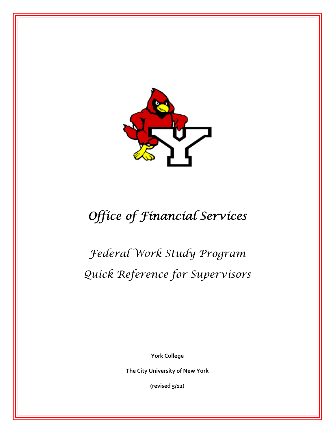

# *Office of Financial Services*

*Federal Work Study Program Quick Reference for Supervisors* 

 **York College**

 **The City University of New York**

 **(revised 5/12)**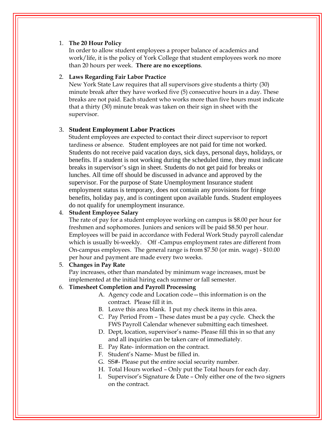# 1. **The 20 Hour Policy**

In order to allow student employees a proper balance of academics and work/life, it is the policy of York College that student employees work no more than 20 hours per week. **There are no exceptions**.

# 2. **Laws Regarding Fair Labor Practice**

New York State Law requires that all supervisors give students a thirty (30) minute break after they have worked five (5) consecutive hours in a day. These breaks are not paid. Each student who works more than five hours must indicate that a thirty (30) minute break was taken on their sign in sheet with the supervisor.

# 3. **Student Employment Labor Practices**

Student employees are expected to contact their direct supervisor to report tardiness or absence. Student employees are not paid for time not worked. Students do not receive paid vacation days, sick days, personal days, holidays, or benefits. If a student is not working during the scheduled time, they must indicate breaks in supervisor's sign in sheet. Students do not get paid for breaks or lunches. All time off should be discussed in advance and approved by the supervisor. For the purpose of State Unemployment Insurance student employment status is temporary, does not contain any provisions for fringe benefits, holiday pay, and is contingent upon available funds. Student employees do not qualify for unemployment insurance.

# 4. **Student Employee Salary**

The rate of pay for a student employee working on campus is \$8.00 per hour for freshmen and sophomores. Juniors and seniors will be paid \$8.50 per hour. Employees will be paid in accordance with Federal Work Study payroll calendar which is usually bi-weekly. Off -Campus employment rates are different from On-campus employees. The general range is from \$7.50 (or min. wage) - \$10.00 per hour and payment are made every two weeks.

#### 5. **Changes in Pay Rate**

Pay increases, other than mandated by minimum wage increases, must be implemented at the initial hiring each summer or fall semester.

# 6. **Timesheet Completion and Payroll Processing**

- A. Agency code and Location code—this information is on the contract. Please fill it in.
- B. Leave this area blank. I put my check items in this area.
- C. Pay Period From These dates must be a pay cycle. Check the FWS Payroll Calendar whenever submitting each timesheet.
- D. Dept, location, supervisor's name- Please fill this in so that any and all inquiries can be taken care of immediately.
- E. Pay Rate- information on the contract.
- F. Student's Name- Must be filled in.
- G. SS#- Please put the entire social security number.
- H. Total Hours worked Only put the Total hours for each day.
- I. Supervisor's Signature & Date Only either one of the two signers on the contract.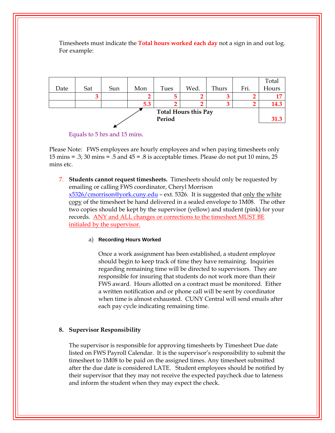|                             |     |     |     |      |      |       |      | Total |  |  |
|-----------------------------|-----|-----|-----|------|------|-------|------|-------|--|--|
| Date                        | Sat | Sun | Mon | Tues | Wed. | Thurs | Fri. | Hours |  |  |
|                             |     |     |     | 5    |      |       |      |       |  |  |
|                             |     |     | 5.3 | ◠    |      |       |      | 14.3  |  |  |
| <b>Total Hours this Pay</b> |     |     |     |      |      |       |      |       |  |  |
| Period                      |     |     |     |      |      |       |      |       |  |  |
|                             |     |     |     |      |      |       |      |       |  |  |

Timesheets must indicate the **Total hours worked each day** not a sign in and out log.<br>For example:

Please Note: FWS employees are hourly employees and when paying timesheets only 15 mins = .3; 30 mins = .5 and 45 = .8 is acceptable times. Please do not put 10 mins, 25 mins etc.

 [x5326/cmorrison@york.cuny.edu](mailto:x5326/cmorrison@york.cuny.edu) – ext. 5326. It is suggested that only the white 7. **Students cannot request timesheets.** Timesheets should only be requested by emailing or calling FWS coordinator, Cheryl Morrison copy of the timesheet be hand delivered in a sealed envelope to 1M08. The other two copies should be kept by the supervisor (yellow) and student (pink) for your records. ANY and ALL changes or corrections to the timesheet MUST BE initialed by the supervisor.

# a) **Recording Hours Worked**

Once a work assignment has been established, a student employee should begin to keep track of time they have remaining. Inquiries regarding remaining time will be directed to supervisors. They are responsible for insuring that students do not work more than their FWS award. Hours allotted on a contract must be monitored. Either a written notification and or phone call will be sent by coordinator when time is almost exhausted. CUNY Central will send emails after each pay cycle indicating remaining time.

# **8. Supervisor Responsibility**

The supervisor is responsible for approving timesheets by Timesheet Due date listed on FWS Payroll Calendar. It is the supervisor's responsibility to submit the timesheet to 1M08 to be paid on the assigned times. Any timesheet submitted after the due date is considered LATE. Student employees should be notified by their supervisor that they may not receive the expected paycheck due to lateness and inform the student when they may expect the check.

Equals to 5 hrs and 15 mins.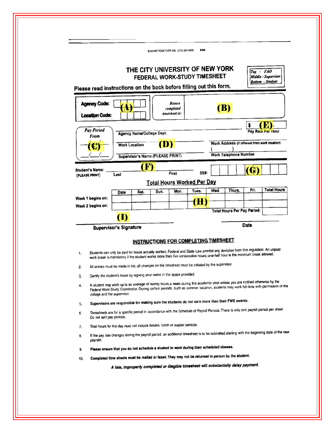|                                                                    |                                                                                                                                                                                                                                                                                                    |                                                                                                                                                       | BINDING TOGETHER INC. (212) 334-9400 |                                      | 9/04                                                            |      |                                                |                   |                                                |  |  |
|--------------------------------------------------------------------|----------------------------------------------------------------------------------------------------------------------------------------------------------------------------------------------------------------------------------------------------------------------------------------------------|-------------------------------------------------------------------------------------------------------------------------------------------------------|--------------------------------------|--------------------------------------|-----------------------------------------------------------------|------|------------------------------------------------|-------------------|------------------------------------------------|--|--|
| Please read instructions on the back before filling out this form. |                                                                                                                                                                                                                                                                                                    |                                                                                                                                                       |                                      |                                      | THE CITY UNIVERSITY OF NEW YORK<br>FEDERAL WORK-STUDY TIMESHEET |      |                                                | $Top - FAO$       | Middle - Supervisor<br><b>Bottom</b> - Student |  |  |
| <b>Agency Code:</b><br>ocation Code:                               |                                                                                                                                                                                                                                                                                                    |                                                                                                                                                       |                                      | Return<br>completed<br>timesheet to: |                                                                 |      | <b>(B)</b>                                     |                   |                                                |  |  |
| Pay Period<br>From                                                 |                                                                                                                                                                                                                                                                                                    | Agency Name/College Dept.                                                                                                                             |                                      |                                      |                                                                 |      |                                                | Pay Rate Per Hour |                                                |  |  |
|                                                                    |                                                                                                                                                                                                                                                                                                    | OD<br><b>Work Location</b>                                                                                                                            |                                      |                                      |                                                                 |      | Work Address (if different from work location) |                   |                                                |  |  |
|                                                                    |                                                                                                                                                                                                                                                                                                    |                                                                                                                                                       | Supervisor's Name (PLEASE PRINT)     |                                      |                                                                 |      | Work Telephone Number                          |                   |                                                |  |  |
| Student's Name:<br>(PLEASE PRINT)                                  | Last                                                                                                                                                                                                                                                                                               | <b>CFD</b>                                                                                                                                            |                                      | First                                | SS#:                                                            |      |                                                | (G)               |                                                |  |  |
|                                                                    |                                                                                                                                                                                                                                                                                                    |                                                                                                                                                       |                                      |                                      | <b>Total Hours Worked Per Day</b>                               |      |                                                |                   |                                                |  |  |
|                                                                    | Date                                                                                                                                                                                                                                                                                               | Sat.                                                                                                                                                  | Sun.                                 | Mon.                                 | Tues.                                                           | Wed. | Thurs.                                         | Fri.              | <b>Total Hours</b>                             |  |  |
| Week 1 begins on:                                                  |                                                                                                                                                                                                                                                                                                    |                                                                                                                                                       |                                      |                                      | (H)                                                             |      |                                                |                   |                                                |  |  |
| Week 2 begins on:                                                  |                                                                                                                                                                                                                                                                                                    |                                                                                                                                                       |                                      |                                      |                                                                 |      | <b>Total Hours Per Pay Period:</b>             |                   |                                                |  |  |
|                                                                    | (I)                                                                                                                                                                                                                                                                                                |                                                                                                                                                       |                                      |                                      |                                                                 |      |                                                |                   |                                                |  |  |
|                                                                    | Supervisor's Signature                                                                                                                                                                                                                                                                             |                                                                                                                                                       |                                      |                                      |                                                                 |      |                                                | Date              |                                                |  |  |
|                                                                    |                                                                                                                                                                                                                                                                                                    |                                                                                                                                                       |                                      |                                      | INSTRUCTIONS FOR COMPLETING TIMESHEET                           |      |                                                |                   |                                                |  |  |
|                                                                    |                                                                                                                                                                                                                                                                                                    |                                                                                                                                                       |                                      |                                      |                                                                 |      |                                                |                   |                                                |  |  |
| 1.                                                                 | Students can only be paid for hours actually worked. Federal and State Law prohibit any deviation from this regulation. An unpaid<br>work break is mandatory if the student works more than five consecutive hours; one half hour is the minimum break allowed.                                    |                                                                                                                                                       |                                      |                                      |                                                                 |      |                                                |                   |                                                |  |  |
| 2.                                                                 | All entries must be made in ink; all changes on the timesheet must be initialed by the supervisor.                                                                                                                                                                                                 |                                                                                                                                                       |                                      |                                      |                                                                 |      |                                                |                   |                                                |  |  |
| З.                                                                 | Certify the student's hours by signing your name in the space provided.                                                                                                                                                                                                                            |                                                                                                                                                       |                                      |                                      |                                                                 |      |                                                |                   |                                                |  |  |
| 4.                                                                 | A student may work up to an average of twenty hours a week during the academic year unless you are notified otherwise by the<br>Federal Work Study Coordinator. During certain periods, such as summer vacation, students may work full-time with permission of the<br>college and the supervisor. |                                                                                                                                                       |                                      |                                      |                                                                 |      |                                                |                   |                                                |  |  |
| 5.                                                                 | Supervisors are responsible for making sure the students do not earn more than their FWS awards.                                                                                                                                                                                                   |                                                                                                                                                       |                                      |                                      |                                                                 |      |                                                |                   |                                                |  |  |
|                                                                    | Timesheets are for a specific period in accordance with the Schedule of Payroll Periods. There is only one payroll period per sheet.<br>Do not split pay periods.                                                                                                                                  |                                                                                                                                                       |                                      |                                      |                                                                 |      |                                                |                   |                                                |  |  |
| 6.                                                                 | Total hours for the day must not include breaks, lunch or supper periods.                                                                                                                                                                                                                          |                                                                                                                                                       |                                      |                                      |                                                                 |      |                                                |                   |                                                |  |  |
| 7.                                                                 |                                                                                                                                                                                                                                                                                                    | If the pay rate changes during the payroll period, an additional timesheet is to be submitted starting with the beginning date of the new<br>payrate. |                                      |                                      |                                                                 |      |                                                |                   |                                                |  |  |
| 8.                                                                 |                                                                                                                                                                                                                                                                                                    |                                                                                                                                                       |                                      |                                      |                                                                 |      |                                                |                   |                                                |  |  |
| 9.                                                                 | Please ensure that you do not schedule a student to work during their scheduled classes.                                                                                                                                                                                                           |                                                                                                                                                       |                                      |                                      |                                                                 |      |                                                |                   |                                                |  |  |
| 10.                                                                | Completed time sheets must be malled or faxed. They may not be returned in person by the student.                                                                                                                                                                                                  |                                                                                                                                                       |                                      |                                      |                                                                 |      |                                                |                   |                                                |  |  |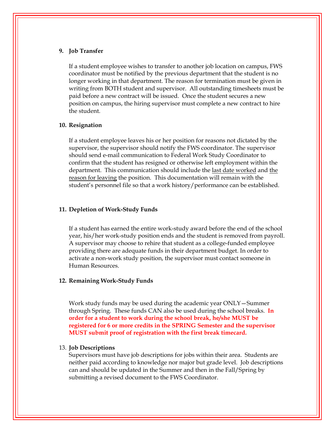#### **9. Job Transfer**

If a student employee wishes to transfer to another job location on campus, FWS coordinator must be notified by the previous department that the student is no longer working in that department. The reason for termination must be given in writing from BOTH student and supervisor. All outstanding timesheets must be paid before a new contract will be issued. Once the student secures a new position on campus, the hiring supervisor must complete a new contract to hire the student.

#### **10. Resignation**

If a student employee leaves his or her position for reasons not dictated by the supervisor, the supervisor should notify the FWS coordinator. The supervisor should send e-mail communication to Federal Work Study Coordinator to confirm that the student has resigned or otherwise left employment within the department. This communication should include the last date worked and the reason for leaving the position. This documentation will remain with the student's personnel file so that a work history/performance can be established.

#### **11. Depletion of Work-Study Funds**

If a student has earned the entire work-study award before the end of the school year, his/her work-study position ends and the student is removed from payroll. A supervisor may choose to rehire that student as a college-funded employee providing there are adequate funds in their department budget. In order to activate a non-work study position, the supervisor must contact someone in Human Resources.

#### **12. Remaining Work-Study Funds**

 **MUST submit proof of registration with the first break timecard.** Work study funds may be used during the academic year ONLY—Summer through Spring. These funds CAN also be used during the school breaks. **In order for a student to work during the school break, he/she MUST be registered for 6 or more credits in the SPRING Semester and the supervisor** 

#### 13. **Job Descriptions**

Supervisors must have job descriptions for jobs within their area. Students are neither paid according to knowledge nor major but grade level. Job descriptions can and should be updated in the Summer and then in the Fall/Spring by submitting a revised document to the FWS Coordinator.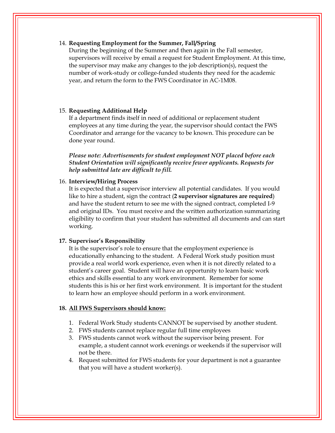#### 14. **Requesting Employment for the Summer, Fall/Spring**

During the beginning of the Summer and then again in the Fall semester, supervisors will receive by email a request for Student Employment. At this time, the supervisor may make any changes to the job description(s), request the number of work-study or college-funded students they need for the academic year, and return the form to the FWS Coordinator in AC-1M08.

# 15. **Requesting Additional Help**

If a department finds itself in need of additional or replacement student employees at any time during the year, the supervisor should contact the FWS Coordinator and arrange for the vacancy to be known. This procedure can be done year round.

*Please note: Advertisements for student employment NOT placed before each Student Orientation will significantly receive fewer applicants. Requests for help submitted late are difficult to fill.* 

#### 16. **Interview/Hiring Process**

It is expected that a supervisor interview all potential candidates. If you would like to hire a student, sign the contract (**2 supervisor signatures are required**) and have the student return to see me with the signed contract, completed I-9 and original IDs. You must receive and the written authorization summarizing eligibility to confirm that your student has submitted all documents and can start working.

#### **17. Supervisor's Responsibility**

It is the supervisor's role to ensure that the employment experience is educationally enhancing to the student. A Federal Work study position must provide a real world work experience, even when it is not directly related to a student's career goal. Student will have an opportunity to learn basic work ethics and skills essential to any work environment. Remember for some students this is his or her first work environment. It is important for the student to learn how an employee should perform in a work environment.

#### **18. All FWS Supervisors should know:**

- 1. Federal Work Study students CANNOT be supervised by another student.
- 2. FWS students cannot replace regular full time employees
- 3. FWS students cannot work without the supervisor being present. For example, a student cannot work evenings or weekends if the supervisor will not be there.
- 4. Request submitted for FWS students for your department is not a guarantee that you will have a student worker(s).